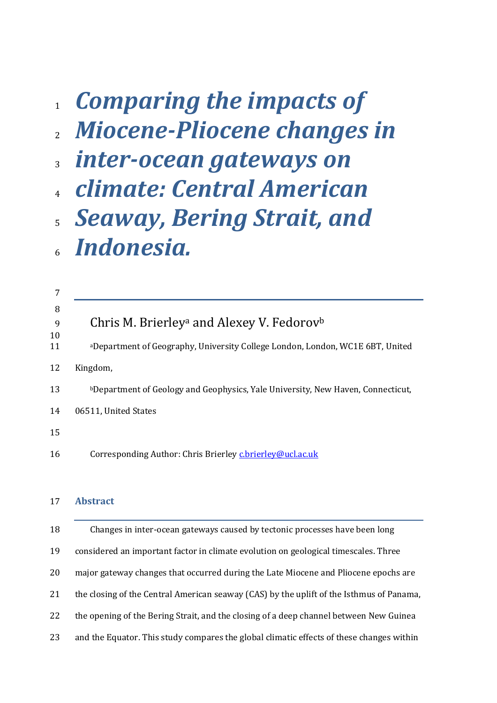# *Comparing the impacts of Miocene-Pliocene changes in*

- *inter-ocean gateways on*
- *climate: Central American*
- *Seaway, Bering Strait, and Indonesia.*

| 7        |                                                                                 |
|----------|---------------------------------------------------------------------------------|
| 8        |                                                                                 |
| 9        | Chris M. Brierley <sup>a</sup> and Alexey V. Fedorov <sup>b</sup>               |
| 10<br>11 | aDepartment of Geography, University College London, London, WC1E 6BT, United   |
| 12       | Kingdom,                                                                        |
| 13       | bDepartment of Geology and Geophysics, Yale University, New Haven, Connecticut, |
| 14       | 06511, United States                                                            |
| 15       |                                                                                 |
| 16       | Corresponding Author: Chris Brierley c.brierley@ucl.ac.uk                       |
|          |                                                                                 |

## **Abstract**

 Changes in inter-ocean gateways caused by tectonic processes have been long considered an important factor in climate evolution on geological timescales. Three major gateway changes that occurred during the Late Miocene and Pliocene epochs are the closing of the Central American seaway (CAS) by the uplift of the Isthmus of Panama, 22 the opening of the Bering Strait, and the closing of a deep channel between New Guinea and the Equator. This study compares the global climatic effects of these changes within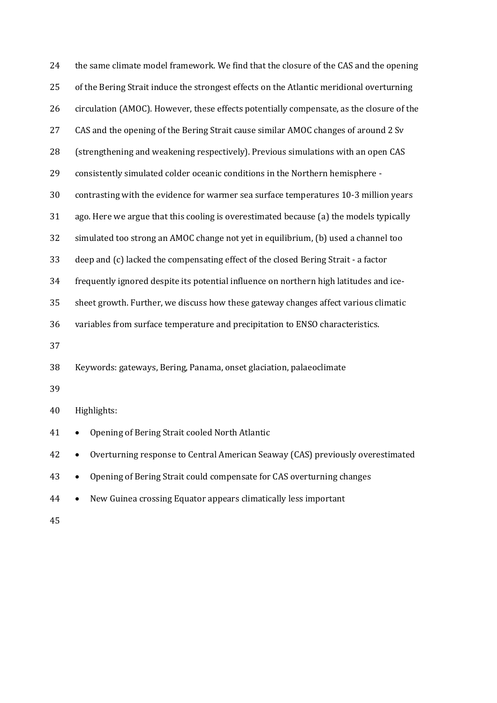| 24 | the same climate model framework. We find that the closure of the CAS and the opening    |  |  |  |
|----|------------------------------------------------------------------------------------------|--|--|--|
| 25 | of the Bering Strait induce the strongest effects on the Atlantic meridional overturning |  |  |  |
| 26 | circulation (AMOC). However, these effects potentially compensate, as the closure of the |  |  |  |
| 27 | CAS and the opening of the Bering Strait cause similar AMOC changes of around 2 Sv       |  |  |  |
| 28 | (strengthening and weakening respectively). Previous simulations with an open CAS        |  |  |  |
| 29 | consistently simulated colder oceanic conditions in the Northern hemisphere -            |  |  |  |
| 30 | contrasting with the evidence for warmer sea surface temperatures 10-3 million years     |  |  |  |
| 31 | ago. Here we argue that this cooling is overestimated because (a) the models typically   |  |  |  |
| 32 | simulated too strong an AMOC change not yet in equilibrium, (b) used a channel too       |  |  |  |
| 33 | deep and (c) lacked the compensating effect of the closed Bering Strait - a factor       |  |  |  |
| 34 | frequently ignored despite its potential influence on northern high latitudes and ice-   |  |  |  |
| 35 | sheet growth. Further, we discuss how these gateway changes affect various climatic      |  |  |  |
| 36 | variables from surface temperature and precipitation to ENSO characteristics.            |  |  |  |
| 37 |                                                                                          |  |  |  |
| 38 | Keywords: gateways, Bering, Panama, onset glaciation, palaeoclimate                      |  |  |  |
| 39 |                                                                                          |  |  |  |
| 40 | Highlights:                                                                              |  |  |  |
| 41 | • Opening of Bering Strait cooled North Atlantic                                         |  |  |  |
| 42 | Overturning response to Central American Seaway (CAS) previously overestimated           |  |  |  |
| 43 | Opening of Bering Strait could compensate for CAS overturning changes                    |  |  |  |
| 44 | New Guinea crossing Equator appears climatically less important<br>$\bullet$             |  |  |  |
| 45 |                                                                                          |  |  |  |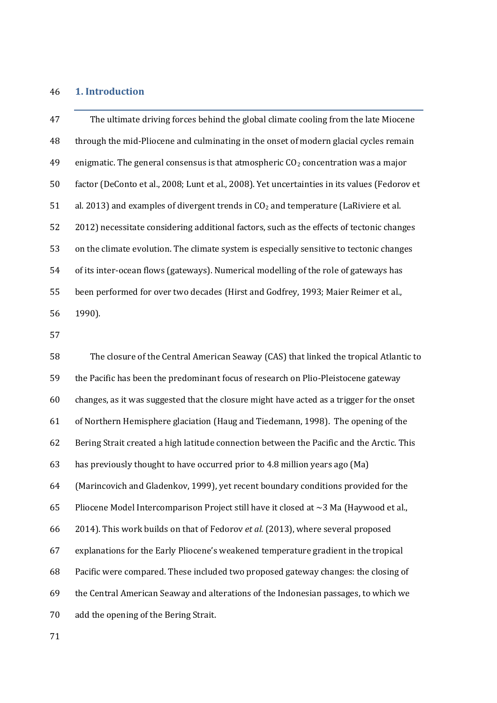# **1. Introduction**

| 47 | The ultimate driving forces behind the global climate cooling from the late Miocene           |
|----|-----------------------------------------------------------------------------------------------|
| 48 | through the mid-Pliocene and culminating in the onset of modern glacial cycles remain         |
| 49 | enigmatic. The general consensus is that atmospheric $CO2$ concentration was a major          |
| 50 | factor (DeConto et al., 2008; Lunt et al., 2008). Yet uncertainties in its values (Fedorov et |
| 51 | al. 2013) and examples of divergent trends in $CO2$ and temperature (LaRiviere et al.         |
| 52 | 2012) necessitate considering additional factors, such as the effects of tectonic changes     |
| 53 | on the climate evolution. The climate system is especially sensitive to tectonic changes      |
| 54 | of its inter-ocean flows (gateways). Numerical modelling of the role of gateways has          |
| 55 | been performed for over two decades (Hirst and Godfrey, 1993; Maier Reimer et al.,            |
| 56 | 1990).                                                                                        |
| 57 |                                                                                               |
| 58 | The closure of the Central American Seaway (CAS) that linked the tropical Atlantic to         |
| 59 | the Pacific has been the predominant focus of research on Plio-Pleistocene gateway            |
| 60 | changes, as it was suggested that the closure might have acted as a trigger for the onset     |
| 61 | of Northern Hemisphere glaciation (Haug and Tiedemann, 1998). The opening of the              |
| 62 | Bering Strait created a high latitude connection between the Pacific and the Arctic. This     |
| 63 | has previously thought to have occurred prior to 4.8 million years ago (Ma)                   |
| 64 | (Marincovich and Gladenkov, 1999), yet recent boundary conditions provided for the            |
| 65 | Pliocene Model Intercomparison Project still have it closed at $\sim$ 3 Ma (Haywood et al.,   |
| 66 | 2014). This work builds on that of Fedorov et al. (2013), where several proposed              |
| 67 | explanations for the Early Pliocene's weakened temperature gradient in the tropical           |
| 68 | Pacific were compared. These included two proposed gateway changes: the closing of            |
| 69 | the Central American Seaway and alterations of the Indonesian passages, to which we           |
| 70 | add the opening of the Bering Strait.                                                         |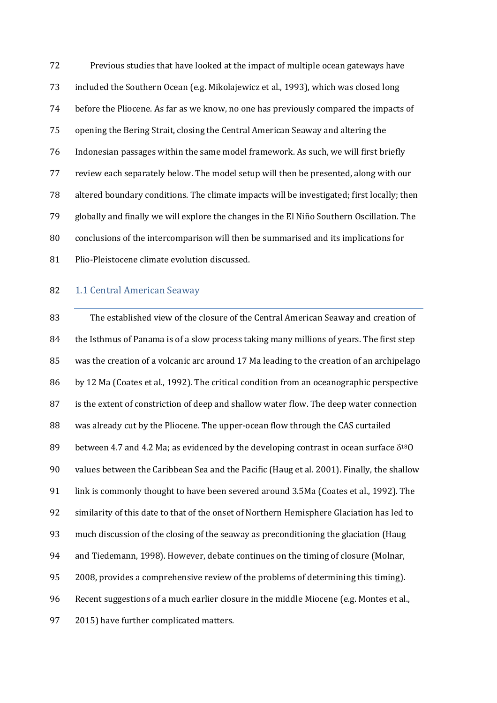Previous studies that have looked at the impact of multiple ocean gateways have included the Southern Ocean (e.g. Mikolajewicz et al., 1993), which was closed long before the Pliocene. As far as we know, no one has previously compared the impacts of opening the Bering Strait, closing the Central American Seaway and altering the Indonesian passages within the same model framework. As such, we will first briefly review each separately below. The model setup will then be presented, along with our altered boundary conditions. The climate impacts will be investigated; first locally; then globally and finally we will explore the changes in the El Niño Southern Oscillation. The conclusions of the intercomparison will then be summarised and its implications for Plio-Pleistocene climate evolution discussed.

#### 82 1.1 Central American Seaway

 The established view of the closure of the Central American Seaway and creation of 84 the Isthmus of Panama is of a slow process taking many millions of years. The first step was the creation of a volcanic arc around 17 Ma leading to the creation of an archipelago 86 by 12 Ma (Coates et al., 1992). The critical condition from an oceanographic perspective is the extent of constriction of deep and shallow water flow. The deep water connection was already cut by the Pliocene. The upper-ocean flow through the CAS curtailed 89 between 4.7 and 4.2 Ma; as evidenced by the developing contrast in ocean surface  $\delta^{18}$ O values between the Caribbean Sea and the Pacific (Haug et al. 2001). Finally, the shallow link is commonly thought to have been severed around 3.5Ma (Coates et al., 1992). The similarity of this date to that of the onset of Northern Hemisphere Glaciation has led to much discussion of the closing of the seaway as preconditioning the glaciation (Haug and Tiedemann, 1998). However, debate continues on the timing of closure (Molnar, 2008, provides a comprehensive review of the problems of determining this timing). Recent suggestions of a much earlier closure in the middle Miocene (e.g. Montes et al., 2015) have further complicated matters.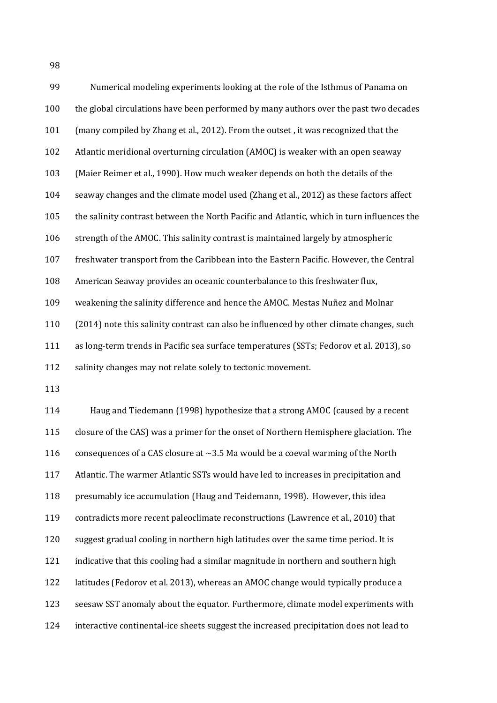Numerical modeling experiments looking at the role of the Isthmus of Panama on the global circulations have been performed by many authors over the past two decades (many compiled by Zhang et al., 2012). From the outset , it was recognized that the Atlantic meridional overturning circulation (AMOC) is weaker with an open seaway (Maier Reimer et al., 1990). How much weaker depends on both the details of the seaway changes and the climate model used (Zhang et al., 2012) as these factors affect the salinity contrast between the North Pacific and Atlantic, which in turn influences the strength of the AMOC. This salinity contrast is maintained largely by atmospheric freshwater transport from the Caribbean into the Eastern Pacific. However, the Central American Seaway provides an oceanic counterbalance to this freshwater flux, weakening the salinity difference and hence the AMOC. Mestas Nuñez and Molnar 110 (2014) note this salinity contrast can also be influenced by other climate changes, such as long-term trends in Pacific sea surface temperatures (SSTs; Fedorov et al. 2013), so 112 salinity changes may not relate solely to tectonic movement.

 Haug and Tiedemann (1998) hypothesize that a strong AMOC (caused by a recent closure of the CAS) was a primer for the onset of Northern Hemisphere glaciation. The 116 consequences of a CAS closure at  $\sim$ 3.5 Ma would be a coeval warming of the North Atlantic. The warmer Atlantic SSTs would have led to increases in precipitation and presumably ice accumulation (Haug and Teidemann, 1998). However, this idea contradicts more recent paleoclimate reconstructions (Lawrence et al., 2010) that suggest gradual cooling in northern high latitudes over the same time period. It is indicative that this cooling had a similar magnitude in northern and southern high latitudes (Fedorov et al. 2013), whereas an AMOC change would typically produce a seesaw SST anomaly about the equator. Furthermore, climate model experiments with interactive continental-ice sheets suggest the increased precipitation does not lead to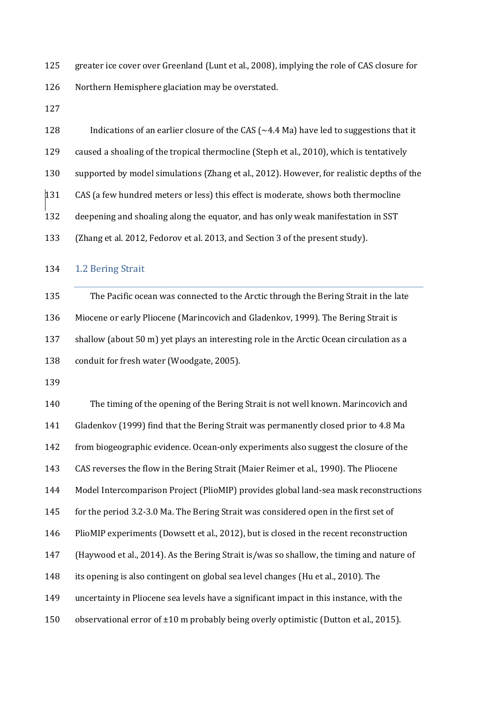greater ice cover over Greenland (Lunt et al., 2008), implying the role of CAS closure for Northern Hemisphere glaciation may be overstated.

128 Indications of an earlier closure of the CAS ( $\sim$  4.4 Ma) have led to suggestions that it caused a shoaling of the tropical thermocline (Steph et al., 2010), which is tentatively supported by model simulations (Zhang et al., 2012). However, for realistic depths of the CAS (a few hundred meters or less) this effect is moderate, shows both thermocline deepening and shoaling along the equator, and has only weak manifestation in SST (Zhang et al. 2012, Fedorov et al. 2013, and Section 3 of the present study).

#### 1.2 Bering Strait

 The Pacific ocean was connected to the Arctic through the Bering Strait in the late Miocene or early Pliocene (Marincovich and Gladenkov, 1999). The Bering Strait is shallow (about 50 m) yet plays an interesting role in the Arctic Ocean circulation as a conduit for fresh water (Woodgate, 2005).

 The timing of the opening of the Bering Strait is not well known. Marincovich and Gladenkov (1999) find that the Bering Strait was permanently closed prior to 4.8 Ma from biogeographic evidence. Ocean-only experiments also suggest the closure of the CAS reverses the flow in the Bering Strait (Maier Reimer et al., 1990). The Pliocene Model Intercomparison Project (PlioMIP) provides global land-sea mask reconstructions for the period 3.2-3.0 Ma. The Bering Strait was considered open in the first set of PlioMIP experiments (Dowsett et al., 2012), but is closed in the recent reconstruction (Haywood et al., 2014). As the Bering Strait is/was so shallow, the timing and nature of its opening is also contingent on global sea level changes (Hu et al., 2010). The uncertainty in Pliocene sea levels have a significant impact in this instance, with the 150 observational error of ±10 m probably being overly optimistic (Dutton et al., 2015).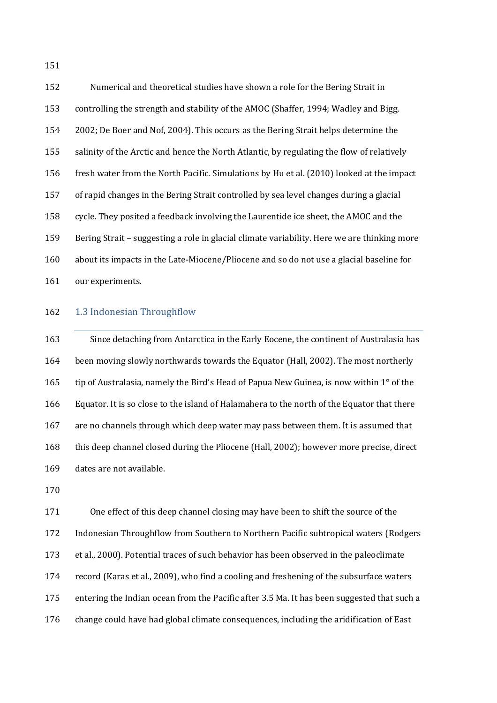Numerical and theoretical studies have shown a role for the Bering Strait in controlling the strength and stability of the AMOC (Shaffer, 1994; Wadley and Bigg, 2002; De Boer and Nof, 2004). This occurs as the Bering Strait helps determine the salinity of the Arctic and hence the North Atlantic, by regulating the flow of relatively fresh water from the North Pacific. Simulations by Hu et al. (2010) looked at the impact of rapid changes in the Bering Strait controlled by sea level changes during a glacial cycle. They posited a feedback involving the Laurentide ice sheet, the AMOC and the Bering Strait – suggesting a role in glacial climate variability. Here we are thinking more about its impacts in the Late-Miocene/Pliocene and so do not use a glacial baseline for our experiments.

#### 162 1.3 Indonesian Throughflow

 Since detaching from Antarctica in the Early Eocene, the continent of Australasia has been moving slowly northwards towards the Equator (Hall, 2002). The most northerly tip of Australasia, namely the Bird's Head of Papua New Guinea, is now within 1° of the Equator. It is so close to the island of Halamahera to the north of the Equator that there are no channels through which deep water may pass between them. It is assumed that this deep channel closed during the Pliocene (Hall, 2002); however more precise, direct dates are not available.

 One effect of this deep channel closing may have been to shift the source of the Indonesian Throughflow from Southern to Northern Pacific subtropical waters (Rodgers et al., 2000). Potential traces of such behavior has been observed in the paleoclimate record (Karas et al., 2009), who find a cooling and freshening of the subsurface waters entering the Indian ocean from the Pacific after 3.5 Ma. It has been suggested that such a change could have had global climate consequences, including the aridification of East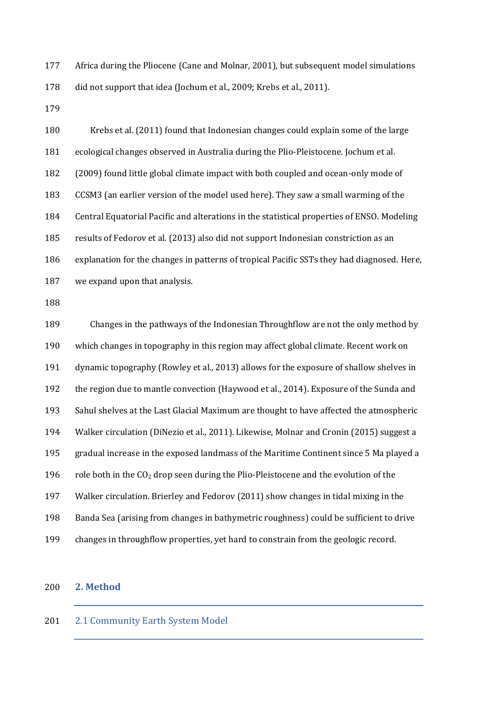Africa during the Pliocene (Cane and Molnar, 2001), but subsequent model simulations 178 did not support that idea (Jochum et al., 2009; Krebs et al., 2011).

 Krebs et al. (2011) found that Indonesian changes could explain some of the large ecological changes observed in Australia during the Plio-Pleistocene. Jochum et al. (2009) found little global climate impact with both coupled and ocean-only mode of CCSM3 (an earlier version of the model used here). They saw a small warming of the Central Equatorial Pacific and alterations in the statistical properties of ENSO. Modeling results of Fedorov et al. (2013) also did not support Indonesian constriction as an explanation for the changes in patterns of tropical Pacific SSTs they had diagnosed. Here, we expand upon that analysis.

 Changes in the pathways of the Indonesian Throughflow are not the only method by which changes in topography in this region may affect global climate. Recent work on dynamic topography (Rowley et al., 2013) allows for the exposure of shallow shelves in the region due to mantle convection (Haywood et al., 2014). Exposure of the Sunda and Sahul shelves at the Last Glacial Maximum are thought to have affected the atmospheric Walker circulation (DiNezio et al., 2011). Likewise, Molnar and Cronin (2015) suggest a gradual increase in the exposed landmass of the Maritime Continent since 5 Ma played a 196 role both in the  $CO<sub>2</sub>$  drop seen during the Plio-Pleistocene and the evolution of the Walker circulation. Brierley and Fedorov (2011) show changes in tidal mixing in the Banda Sea (arising from changes in bathymetric roughness) could be sufficient to drive changes in throughflow properties, yet hard to constrain from the geologic record.

## **2. Method**

## 2.1 Community Earth System Model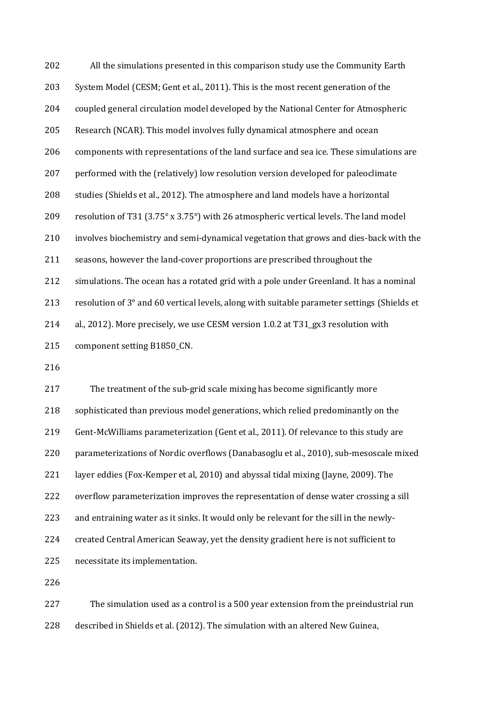| 202 | All the simulations presented in this comparison study use the Community Earth              |
|-----|---------------------------------------------------------------------------------------------|
| 203 | System Model (CESM; Gent et al., 2011). This is the most recent generation of the           |
| 204 | coupled general circulation model developed by the National Center for Atmospheric          |
| 205 | Research (NCAR). This model involves fully dynamical atmosphere and ocean                   |
| 206 | components with representations of the land surface and sea ice. These simulations are      |
| 207 | performed with the (relatively) low resolution version developed for paleoclimate           |
| 208 | studies (Shields et al., 2012). The atmosphere and land models have a horizontal            |
| 209 | resolution of T31 (3.75° x 3.75°) with 26 atmospheric vertical levels. The land model       |
| 210 | involves biochemistry and semi-dynamical vegetation that grows and dies-back with the       |
| 211 | seasons, however the land-cover proportions are prescribed throughout the                   |
| 212 | simulations. The ocean has a rotated grid with a pole under Greenland. It has a nominal     |
| 213 | resolution of 3° and 60 vertical levels, along with suitable parameter settings (Shields et |
| 214 | al., 2012). More precisely, we use CESM version 1.0.2 at T31_gx3 resolution with            |
| 215 | component setting B1850_CN.                                                                 |

 The treatment of the sub-grid scale mixing has become significantly more sophisticated than previous model generations, which relied predominantly on the Gent-McWilliams parameterization (Gent et al., 2011). Of relevance to this study are parameterizations of Nordic overflows (Danabasoglu et al., 2010), sub-mesoscale mixed layer eddies (Fox-Kemper et al, 2010) and abyssal tidal mixing (Jayne, 2009). The overflow parameterization improves the representation of dense water crossing a sill and entraining water as it sinks. It would only be relevant for the sill in the newly- created Central American Seaway, yet the density gradient here is not sufficient to necessitate its implementation.

 The simulation used as a control is a 500 year extension from the preindustrial run described in Shields et al. (2012). The simulation with an altered New Guinea,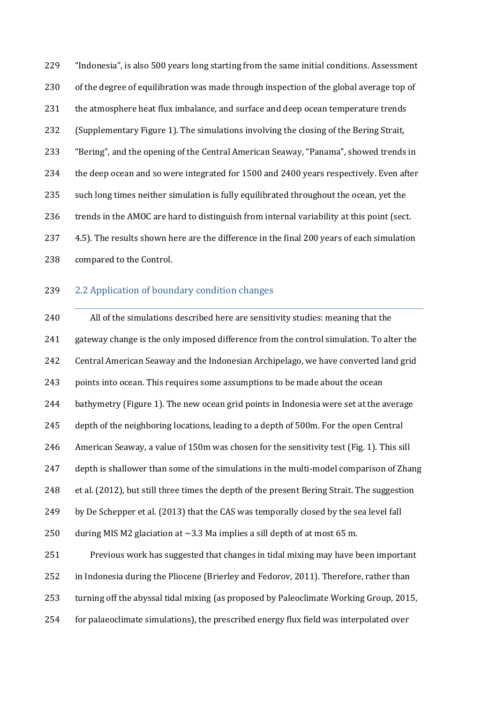"Indonesia", is also 500 years long starting from the same initial conditions. Assessment of the degree of equilibration was made through inspection of the global average top of 231 the atmosphere heat flux imbalance, and surface and deep ocean temperature trends (Supplementary Figure 1). The simulations involving the closing of the Bering Strait, "Bering", and the opening of the Central American Seaway, "Panama", showed trends in the deep ocean and so were integrated for 1500 and 2400 years respectively. Even after such long times neither simulation is fully equilibrated throughout the ocean, yet the 236 trends in the AMOC are hard to distinguish from internal variability at this point (sect. 4.5). The results shown here are the difference in the final 200 years of each simulation compared to the Control.

## 2.2 Application of boundary condition changes

 All of the simulations described here are sensitivity studies: meaning that the gateway change is the only imposed difference from the control simulation. To alter the Central American Seaway and the Indonesian Archipelago, we have converted land grid points into ocean. This requires some assumptions to be made about the ocean bathymetry (Figure 1). The new ocean grid points in Indonesia were set at the average depth of the neighboring locations, leading to a depth of 500m. For the open Central American Seaway, a value of 150m was chosen for the sensitivity test (Fig. 1). This sill depth is shallower than some of the simulations in the multi-model comparison of Zhang et al. (2012), but still three times the depth of the present Bering Strait. The suggestion by De Schepper et al. (2013) that the CAS was temporally closed by the sea level fall 250 during MIS M2 glaciation at  $\sim$ 3.3 Ma implies a sill depth of at most 65 m. Previous work has suggested that changes in tidal mixing may have been important in Indonesia during the Pliocene (Brierley and Fedorov, 2011). Therefore, rather than turning off the abyssal tidal mixing (as proposed by Paleoclimate Working Group, 2015, for palaeoclimate simulations), the prescribed energy flux field was interpolated over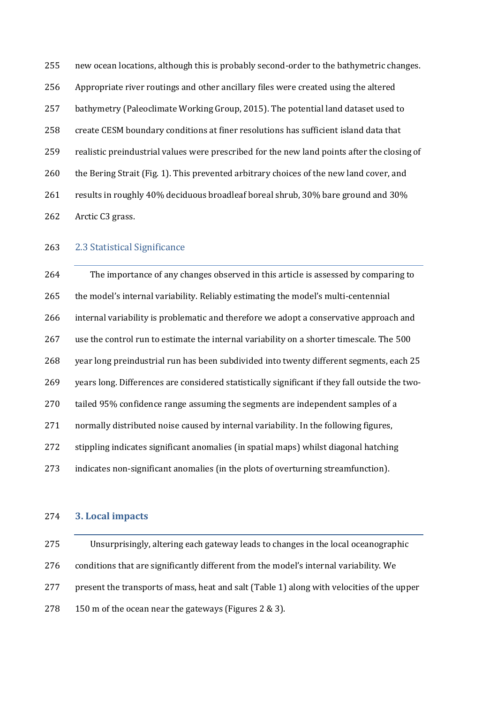new ocean locations, although this is probably second-order to the bathymetric changes. Appropriate river routings and other ancillary files were created using the altered bathymetry (Paleoclimate Working Group, 2015). The potential land dataset used to create CESM boundary conditions at finer resolutions has sufficient island data that realistic preindustrial values were prescribed for the new land points after the closing of the Bering Strait (Fig. 1). This prevented arbitrary choices of the new land cover, and results in roughly 40% deciduous broadleaf boreal shrub, 30% bare ground and 30% Arctic C3 grass.

## 2.3 Statistical Significance

 The importance of any changes observed in this article is assessed by comparing to the model's internal variability. Reliably estimating the model's multi-centennial internal variability is problematic and therefore we adopt a conservative approach and use the control run to estimate the internal variability on a shorter timescale. The 500 year long preindustrial run has been subdivided into twenty different segments, each 25 years long. Differences are considered statistically significant if they fall outside the two- tailed 95% confidence range assuming the segments are independent samples of a normally distributed noise caused by internal variability. In the following figures, stippling indicates significant anomalies (in spatial maps) whilst diagonal hatching indicates non-significant anomalies (in the plots of overturning streamfunction).

## **3. Local impacts**

 Unsurprisingly, altering each gateway leads to changes in the local oceanographic conditions that are significantly different from the model's internal variability. We present the transports of mass, heat and salt (Table 1) along with velocities of the upper 150 m of the ocean near the gateways (Figures 2 & 3).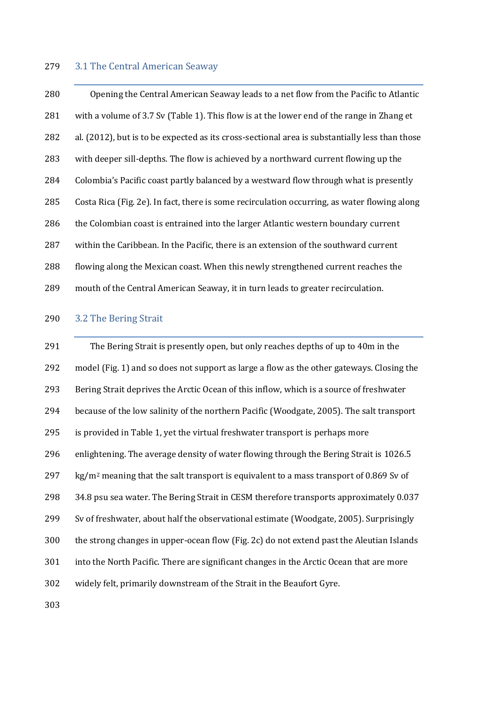#### 3.1 The Central American Seaway

 Opening the Central American Seaway leads to a net flow from the Pacific to Atlantic with a volume of 3.7 Sv (Table 1). This flow is at the lower end of the range in Zhang et al. (2012), but is to be expected as its cross-sectional area is substantially less than those with deeper sill-depths. The flow is achieved by a northward current flowing up the Colombia's Pacific coast partly balanced by a westward flow through what is presently Costa Rica (Fig. 2e). In fact, there is some recirculation occurring, as water flowing along 286 the Colombian coast is entrained into the larger Atlantic western boundary current within the Caribbean. In the Pacific, there is an extension of the southward current flowing along the Mexican coast. When this newly strengthened current reaches the mouth of the Central American Seaway, it in turn leads to greater recirculation.

#### 3.2 The Bering Strait

 The Bering Strait is presently open, but only reaches depths of up to 40m in the model (Fig. 1) and so does not support as large a flow as the other gateways. Closing the Bering Strait deprives the Arctic Ocean of this inflow, which is a source of freshwater because of the low salinity of the northern Pacific (Woodgate, 2005). The salt transport is provided in Table 1, yet the virtual freshwater transport is perhaps more enlightening. The average density of water flowing through the Bering Strait is 1026.5 297 kg/m<sup>2</sup> meaning that the salt transport is equivalent to a mass transport of 0.869 Sv of 34.8 psu sea water. The Bering Strait in CESM therefore transports approximately 0.037 Sv of freshwater, about half the observational estimate (Woodgate, 2005). Surprisingly the strong changes in upper-ocean flow (Fig. 2c) do not extend past the Aleutian Islands into the North Pacific. There are significant changes in the Arctic Ocean that are more widely felt, primarily downstream of the Strait in the Beaufort Gyre.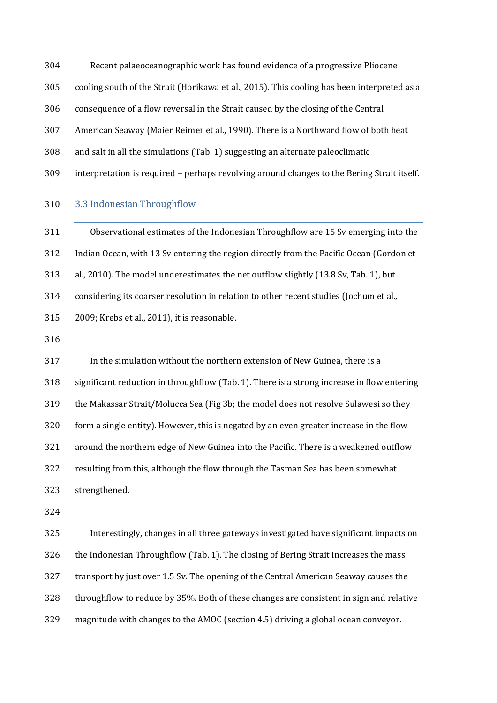Recent palaeoceanographic work has found evidence of a progressive Pliocene

- cooling south of the Strait (Horikawa et al., 2015). This cooling has been interpreted as a
- consequence of a flow reversal in the Strait caused by the closing of the Central
- American Seaway (Maier Reimer et al., 1990). There is a Northward flow of both heat
- and salt in all the simulations (Tab. 1) suggesting an alternate paleoclimatic
- interpretation is required perhaps revolving around changes to the Bering Strait itself.

#### 3.3 Indonesian Throughflow

 Observational estimates of the Indonesian Throughflow are 15 Sv emerging into the Indian Ocean, with 13 Sv entering the region directly from the Pacific Ocean (Gordon et al., 2010). The model underestimates the net outflow slightly (13.8 Sv, Tab. 1), but considering its coarser resolution in relation to other recent studies (Jochum et al., 2009; Krebs et al., 2011), it is reasonable.

 In the simulation without the northern extension of New Guinea, there is a significant reduction in throughflow (Tab. 1). There is a strong increase in flow entering the Makassar Strait/Molucca Sea (Fig 3b; the model does not resolve Sulawesi so they form a single entity). However, this is negated by an even greater increase in the flow around the northern edge of New Guinea into the Pacific. There is a weakened outflow resulting from this, although the flow through the Tasman Sea has been somewhat strengthened.

 Interestingly, changes in all three gateways investigated have significant impacts on the Indonesian Throughflow (Tab. 1). The closing of Bering Strait increases the mass transport by just over 1.5 Sv. The opening of the Central American Seaway causes the throughflow to reduce by 35%. Both of these changes are consistent in sign and relative magnitude with changes to the AMOC (section 4.5) driving a global ocean conveyor.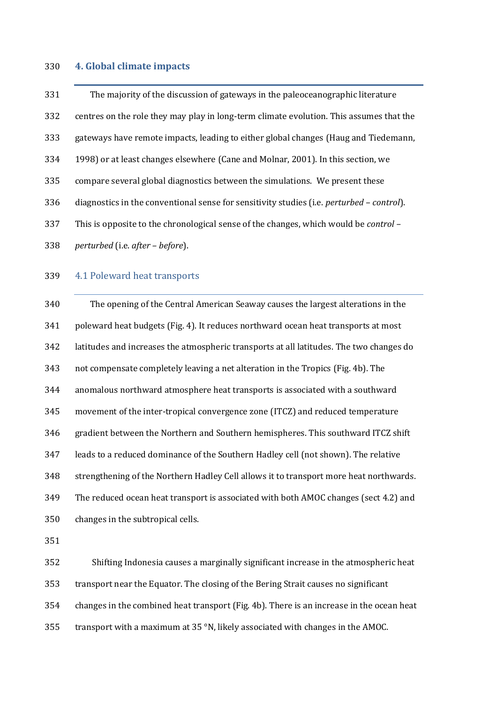## **4. Global climate impacts**

| 331 | The majority of the discussion of gateways in the paleoceanographic literature              |
|-----|---------------------------------------------------------------------------------------------|
| 332 | centres on the role they may play in long-term climate evolution. This assumes that the     |
| 333 | gateways have remote impacts, leading to either global changes (Haug and Tiedemann,         |
| 334 | 1998) or at least changes elsewhere (Cane and Molnar, 2001). In this section, we            |
| 335 | compare several global diagnostics between the simulations. We present these                |
| 336 | diagnostics in the conventional sense for sensitivity studies (i.e. perturbed - control).   |
| 337 | This is opposite to the chronological sense of the changes, which would be <i>control</i> - |
| 338 | perturbed (i.e. after - before).                                                            |
| 339 | 4.1 Poleward heat transports                                                                |
| 340 | The opening of the Central American Seaway causes the largest alterations in the            |
| 341 | poleward heat budgets (Fig. 4). It reduces northward ocean heat transports at most          |
| 342 | latitudes and increases the atmospheric transports at all latitudes. The two changes do     |
| 343 | not compensate completely leaving a net alteration in the Tropics (Fig. 4b). The            |
| 344 | anomalous northward atmosphere heat transports is associated with a southward               |
| 345 | movement of the inter-tropical convergence zone (ITCZ) and reduced temperature              |
| 346 | gradient between the Northern and Southern hemispheres. This southward ITCZ shift           |
| 347 | leads to a reduced dominance of the Southern Hadley cell (not shown). The relative          |
| 348 | strengthening of the Northern Hadley Cell allows it to transport more heat northwards.      |
| 349 | The reduced ocean heat transport is associated with both AMOC changes (sect 4.2) and        |

changes in the subtropical cells.

 Shifting Indonesia causes a marginally significant increase in the atmospheric heat transport near the Equator. The closing of the Bering Strait causes no significant changes in the combined heat transport (Fig. 4b). There is an increase in the ocean heat transport with a maximum at 35 °N, likely associated with changes in the AMOC.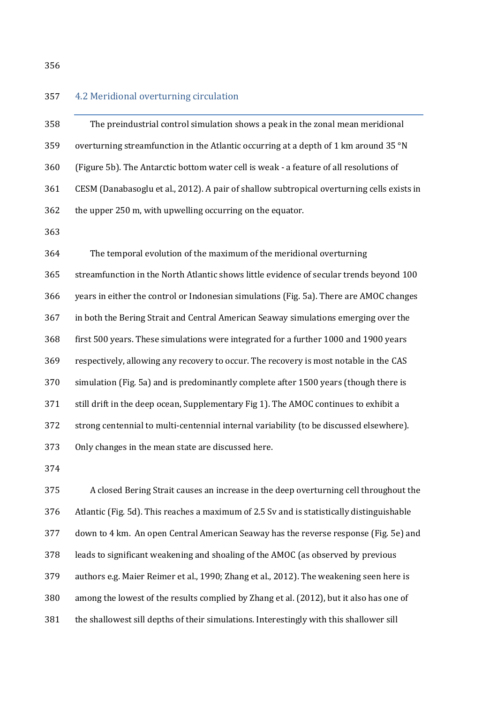## 4.2 Meridional overturning circulation

| 358 | The preindustrial control simulation shows a peak in the zonal mean meridional             |
|-----|--------------------------------------------------------------------------------------------|
| 359 | overturning streamfunction in the Atlantic occurring at a depth of 1 km around 35 °N       |
| 360 | (Figure 5b). The Antarctic bottom water cell is weak - a feature of all resolutions of     |
| 361 | CESM (Danabasoglu et al., 2012). A pair of shallow subtropical overturning cells exists in |
| 362 | the upper 250 m, with upwelling occurring on the equator.                                  |
| 363 |                                                                                            |
| 364 | The temporal evolution of the maximum of the meridional overturning                        |
| 365 | streamfunction in the North Atlantic shows little evidence of secular trends beyond 100    |
|     |                                                                                            |

years in either the control or Indonesian simulations (Fig. 5a). There are AMOC changes

in both the Bering Strait and Central American Seaway simulations emerging over the

 first 500 years. These simulations were integrated for a further 1000 and 1900 years respectively, allowing any recovery to occur. The recovery is most notable in the CAS simulation (Fig. 5a) and is predominantly complete after 1500 years (though there is still drift in the deep ocean, Supplementary Fig 1). The AMOC continues to exhibit a strong centennial to multi-centennial internal variability (to be discussed elsewhere). Only changes in the mean state are discussed here.

 A closed Bering Strait causes an increase in the deep overturning cell throughout the Atlantic (Fig. 5d). This reaches a maximum of 2.5 Sv and is statistically distinguishable down to 4 km. An open Central American Seaway has the reverse response (Fig. 5e) and leads to significant weakening and shoaling of the AMOC (as observed by previous authors e.g. Maier Reimer et al., 1990; Zhang et al., 2012). The weakening seen here is among the lowest of the results complied by Zhang et al. (2012), but it also has one of the shallowest sill depths of their simulations. Interestingly with this shallower sill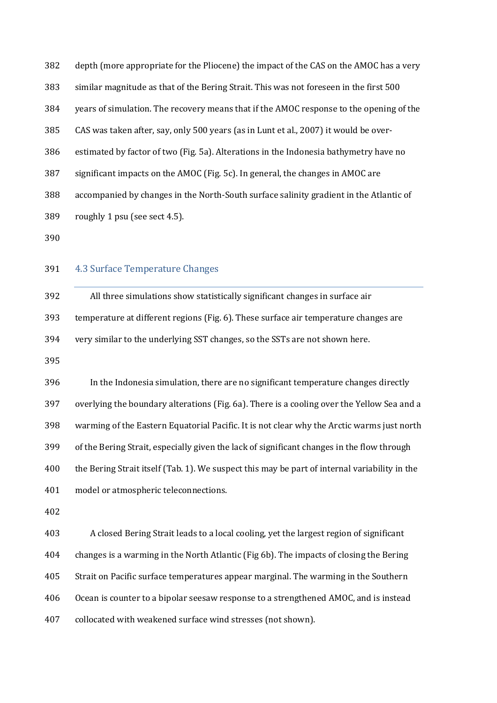depth (more appropriate for the Pliocene) the impact of the CAS on the AMOC has a very similar magnitude as that of the Bering Strait. This was not foreseen in the first 500 years of simulation. The recovery means that if the AMOC response to the opening of the CAS was taken after, say, only 500 years (as in Lunt et al., 2007) it would be over- estimated by factor of two (Fig. 5a). Alterations in the Indonesia bathymetry have no significant impacts on the AMOC (Fig. 5c). In general, the changes in AMOC are accompanied by changes in the North-South surface salinity gradient in the Atlantic of roughly 1 psu (see sect 4.5).

#### 4.3 Surface Temperature Changes

 All three simulations show statistically significant changes in surface air temperature at different regions (Fig. 6). These surface air temperature changes are very similar to the underlying SST changes, so the SSTs are not shown here.

 In the Indonesia simulation, there are no significant temperature changes directly overlying the boundary alterations (Fig. 6a). There is a cooling over the Yellow Sea and a warming of the Eastern Equatorial Pacific. It is not clear why the Arctic warms just north of the Bering Strait, especially given the lack of significant changes in the flow through the Bering Strait itself (Tab. 1). We suspect this may be part of internal variability in the model or atmospheric teleconnections.

 A closed Bering Strait leads to a local cooling, yet the largest region of significant changes is a warming in the North Atlantic (Fig 6b). The impacts of closing the Bering Strait on Pacific surface temperatures appear marginal. The warming in the Southern Ocean is counter to a bipolar seesaw response to a strengthened AMOC, and is instead collocated with weakened surface wind stresses (not shown).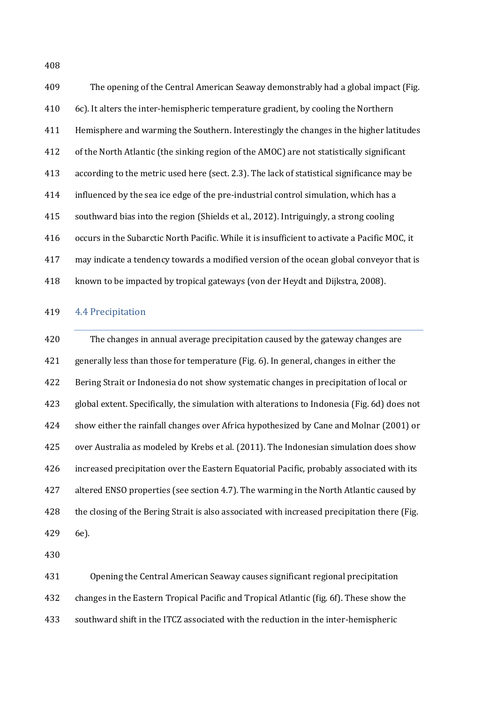The opening of the Central American Seaway demonstrably had a global impact (Fig. 6c). It alters the inter-hemispheric temperature gradient, by cooling the Northern Hemisphere and warming the Southern. Interestingly the changes in the higher latitudes of the North Atlantic (the sinking region of the AMOC) are not statistically significant according to the metric used here (sect. 2.3). The lack of statistical significance may be influenced by the sea ice edge of the pre-industrial control simulation, which has a southward bias into the region (Shields et al., 2012). Intriguingly, a strong cooling occurs in the Subarctic North Pacific. While it is insufficient to activate a Pacific MOC, it may indicate a tendency towards a modified version of the ocean global conveyor that is known to be impacted by tropical gateways (von der Heydt and Dijkstra, 2008).

#### 4.4 Precipitation

 The changes in annual average precipitation caused by the gateway changes are generally less than those for temperature (Fig. 6). In general, changes in either the Bering Strait or Indonesia do not show systematic changes in precipitation of local or global extent. Specifically, the simulation with alterations to Indonesia (Fig. 6d) does not show either the rainfall changes over Africa hypothesized by Cane and Molnar (2001) or over Australia as modeled by Krebs et al. (2011). The Indonesian simulation does show increased precipitation over the Eastern Equatorial Pacific, probably associated with its altered ENSO properties (see section 4.7). The warming in the North Atlantic caused by 428 the closing of the Bering Strait is also associated with increased precipitation there (Fig. 6e).

 Opening the Central American Seaway causes significant regional precipitation changes in the Eastern Tropical Pacific and Tropical Atlantic (fig. 6f). These show the southward shift in the ITCZ associated with the reduction in the inter-hemispheric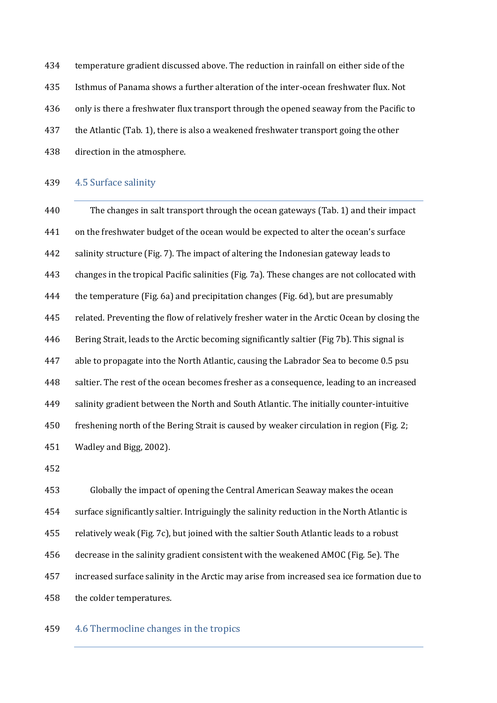temperature gradient discussed above. The reduction in rainfall on either side of the Isthmus of Panama shows a further alteration of the inter-ocean freshwater flux. Not only is there a freshwater flux transport through the opened seaway from the Pacific to the Atlantic (Tab. 1), there is also a weakened freshwater transport going the other direction in the atmosphere.

#### 4.5 Surface salinity

 The changes in salt transport through the ocean gateways (Tab. 1) and their impact on the freshwater budget of the ocean would be expected to alter the ocean's surface salinity structure (Fig. 7). The impact of altering the Indonesian gateway leads to changes in the tropical Pacific salinities (Fig. 7a). These changes are not collocated with the temperature (Fig. 6a) and precipitation changes (Fig. 6d), but are presumably related. Preventing the flow of relatively fresher water in the Arctic Ocean by closing the Bering Strait, leads to the Arctic becoming significantly saltier (Fig 7b). This signal is able to propagate into the North Atlantic, causing the Labrador Sea to become 0.5 psu 448 saltier. The rest of the ocean becomes fresher as a consequence, leading to an increased salinity gradient between the North and South Atlantic. The initially counter-intuitive freshening north of the Bering Strait is caused by weaker circulation in region (Fig. 2; Wadley and Bigg, 2002).

 Globally the impact of opening the Central American Seaway makes the ocean surface significantly saltier. Intriguingly the salinity reduction in the North Atlantic is relatively weak (Fig. 7c), but joined with the saltier South Atlantic leads to a robust decrease in the salinity gradient consistent with the weakened AMOC (Fig. 5e). The increased surface salinity in the Arctic may arise from increased sea ice formation due to the colder temperatures.

#### 4.6 Thermocline changes in the tropics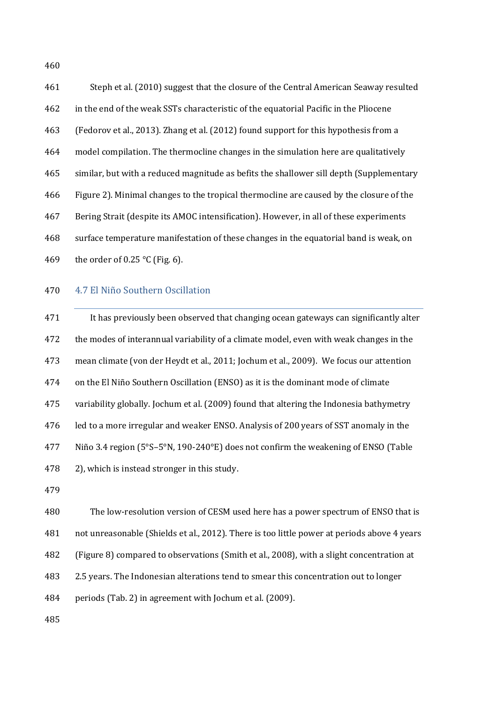Steph et al. (2010) suggest that the closure of the Central American Seaway resulted in the end of the weak SSTs characteristic of the equatorial Pacific in the Pliocene (Fedorov et al., 2013). Zhang et al. (2012) found support for this hypothesis from a model compilation. The thermocline changes in the simulation here are qualitatively similar, but with a reduced magnitude as befits the shallower sill depth (Supplementary Figure 2). Minimal changes to the tropical thermocline are caused by the closure of the Bering Strait (despite its AMOC intensification). However, in all of these experiments surface temperature manifestation of these changes in the equatorial band is weak, on 469 the order of 0.25 °C (Fig. 6).

#### 4.7 El Niño Southern Oscillation

 It has previously been observed that changing ocean gateways can significantly alter the modes of interannual variability of a climate model, even with weak changes in the mean climate (von der Heydt et al., 2011; Jochum et al., 2009). We focus our attention on the El Niño Southern Oscillation (ENSO) as it is the dominant mode of climate variability globally. Jochum et al. (2009) found that altering the Indonesia bathymetry led to a more irregular and weaker ENSO. Analysis of 200 years of SST anomaly in the Niño 3.4 region (5°S–5°N, 190-240°E) does not confirm the weakening of ENSO (Table 2), which is instead stronger in this study.

 The low-resolution version of CESM used here has a power spectrum of ENSO that is not unreasonable (Shields et al., 2012). There is too little power at periods above 4 years (Figure 8) compared to observations (Smith et al., 2008), with a slight concentration at

2.5 years. The Indonesian alterations tend to smear this concentration out to longer

periods (Tab. 2) in agreement with Jochum et al. (2009).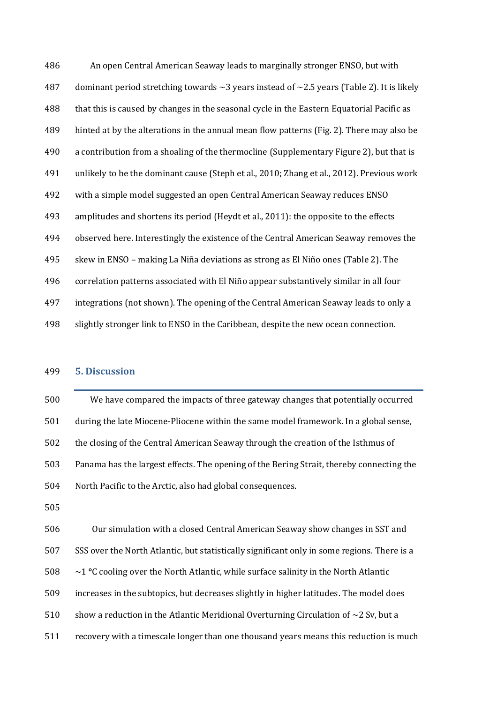An open Central American Seaway leads to marginally stronger ENSO, but with 487 dominant period stretching towards  $\sim$ 3 years instead of  $\sim$ 2.5 years (Table 2). It is likely that this is caused by changes in the seasonal cycle in the Eastern Equatorial Pacific as hinted at by the alterations in the annual mean flow patterns (Fig. 2). There may also be a contribution from a shoaling of the thermocline (Supplementary Figure 2), but that is unlikely to be the dominant cause (Steph et al., 2010; Zhang et al., 2012). Previous work with a simple model suggested an open Central American Seaway reduces ENSO amplitudes and shortens its period (Heydt et al., 2011): the opposite to the effects observed here. Interestingly the existence of the Central American Seaway removes the skew in ENSO – making La Niña deviations as strong as El Niño ones (Table 2). The correlation patterns associated with El Niño appear substantively similar in all four integrations (not shown). The opening of the Central American Seaway leads to only a slightly stronger link to ENSO in the Caribbean, despite the new ocean connection.

## **5. Discussion**

 We have compared the impacts of three gateway changes that potentially occurred during the late Miocene-Pliocene within the same model framework. In a global sense, the closing of the Central American Seaway through the creation of the Isthmus of Panama has the largest effects. The opening of the Bering Strait, thereby connecting the North Pacific to the Arctic, also had global consequences.

 Our simulation with a closed Central American Seaway show changes in SST and SSS over the North Atlantic, but statistically significant only in some regions. There is a ~1 **°**C cooling over the North Atlantic, while surface salinity in the North Atlantic increases in the subtopics, but decreases slightly in higher latitudes. The model does 510 show a reduction in the Atlantic Meridional Overturning Circulation of  $\sim$ 2 Sv, but a recovery with a timescale longer than one thousand years means this reduction is much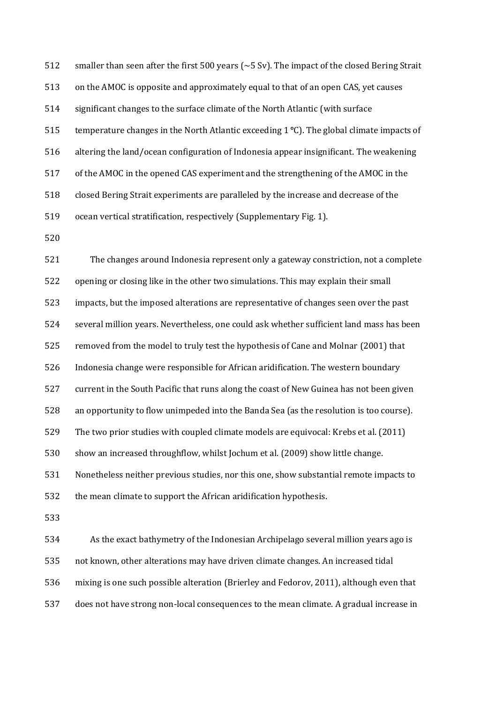512 smaller than seen after the first 500 years (~5 Sv). The impact of the closed Bering Strait on the AMOC is opposite and approximately equal to that of an open CAS, yet causes significant changes to the surface climate of the North Atlantic (with surface temperature changes in the North Atlantic exceeding 1 **°**C). The global climate impacts of altering the land/ocean configuration of Indonesia appear insignificant. The weakening of the AMOC in the opened CAS experiment and the strengthening of the AMOC in the closed Bering Strait experiments are paralleled by the increase and decrease of the ocean vertical stratification, respectively (Supplementary Fig. 1).

 The changes around Indonesia represent only a gateway constriction, not a complete opening or closing like in the other two simulations. This may explain their small impacts, but the imposed alterations are representative of changes seen over the past several million years. Nevertheless, one could ask whether sufficient land mass has been removed from the model to truly test the hypothesis of Cane and Molnar (2001) that Indonesia change were responsible for African aridification. The western boundary current in the South Pacific that runs along the coast of New Guinea has not been given an opportunity to flow unimpeded into the Banda Sea (as the resolution is too course). The two prior studies with coupled climate models are equivocal: Krebs et al. (2011) show an increased throughflow, whilst Jochum et al. (2009) show little change. Nonetheless neither previous studies, nor this one, show substantial remote impacts to the mean climate to support the African aridification hypothesis. 

 As the exact bathymetry of the Indonesian Archipelago several million years ago is not known, other alterations may have driven climate changes. An increased tidal mixing is one such possible alteration (Brierley and Fedorov, 2011), although even that does not have strong non-local consequences to the mean climate. A gradual increase in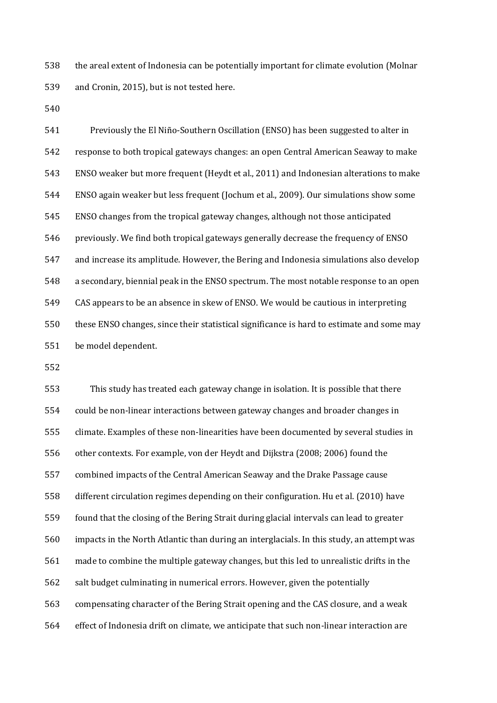the areal extent of Indonesia can be potentially important for climate evolution (Molnar and Cronin, 2015), but is not tested here.

 Previously the El Niño-Southern Oscillation (ENSO) has been suggested to alter in response to both tropical gateways changes: an open Central American Seaway to make ENSO weaker but more frequent (Heydt et al., 2011) and Indonesian alterations to make ENSO again weaker but less frequent (Jochum et al., 2009). Our simulations show some ENSO changes from the tropical gateway changes, although not those anticipated previously. We find both tropical gateways generally decrease the frequency of ENSO and increase its amplitude. However, the Bering and Indonesia simulations also develop a secondary, biennial peak in the ENSO spectrum. The most notable response to an open CAS appears to be an absence in skew of ENSO. We would be cautious in interpreting these ENSO changes, since their statistical significance is hard to estimate and some may be model dependent.

 This study has treated each gateway change in isolation. It is possible that there could be non-linear interactions between gateway changes and broader changes in climate. Examples of these non-linearities have been documented by several studies in other contexts. For example, von der Heydt and Dijkstra (2008; 2006) found the combined impacts of the Central American Seaway and the Drake Passage cause different circulation regimes depending on their configuration. Hu et al. (2010) have found that the closing of the Bering Strait during glacial intervals can lead to greater impacts in the North Atlantic than during an interglacials. In this study, an attempt was made to combine the multiple gateway changes, but this led to unrealistic drifts in the salt budget culminating in numerical errors. However, given the potentially compensating character of the Bering Strait opening and the CAS closure, and a weak effect of Indonesia drift on climate, we anticipate that such non-linear interaction are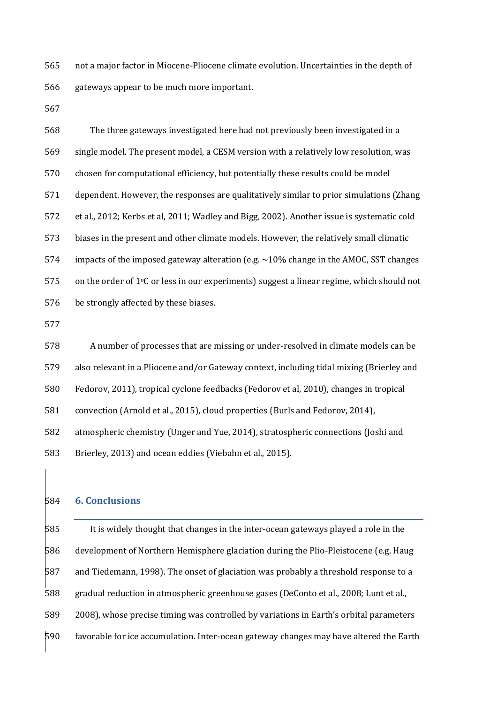not a major factor in Miocene-Pliocene climate evolution. Uncertainties in the depth of gateways appear to be much more important.

 The three gateways investigated here had not previously been investigated in a single model. The present model, a CESM version with a relatively low resolution, was chosen for computational efficiency, but potentially these results could be model dependent. However, the responses are qualitatively similar to prior simulations (Zhang et al., 2012; Kerbs et al, 2011; Wadley and Bigg, 2002). Another issue is systematic cold biases in the present and other climate models. However, the relatively small climatic 574 impacts of the imposed gateway alteration (e.g.  $\sim$  10% change in the AMOC, SST changes on the order of 1 °C or less in our experiments) suggest a linear regime, which should not be strongly affected by these biases.

 A number of processes that are missing or under-resolved in climate models can be also relevant in a Pliocene and/or Gateway context, including tidal mixing (Brierley and Fedorov, 2011), tropical cyclone feedbacks (Fedorov et al, 2010), changes in tropical convection (Arnold et al., 2015), cloud properties (Burls and Fedorov, 2014), atmospheric chemistry (Unger and Yue, 2014), stratospheric connections (Joshi and Brierley, 2013) and ocean eddies (Viebahn et al., 2015).

## **6. Conclusions**

 It is widely thought that changes in the inter-ocean gateways played a role in the development of Northern Hemisphere glaciation during the Plio-Pleistocene (e.g. Haug and Tiedemann, 1998). The onset of glaciation was probably a threshold response to a gradual reduction in atmospheric greenhouse gases (DeConto et al., 2008; Lunt et al., 2008), whose precise timing was controlled by variations in Earth's orbital parameters favorable for ice accumulation. Inter-ocean gateway changes may have altered the Earth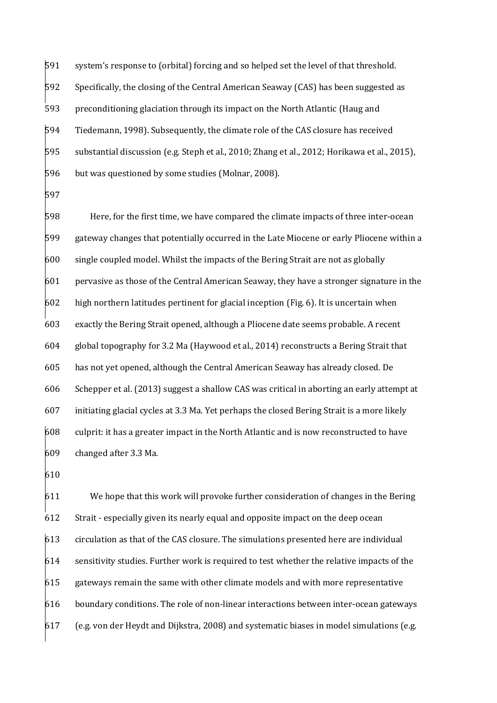system's response to (orbital) forcing and so helped set the level of that threshold. Specifically, the closing of the Central American Seaway (CAS) has been suggested as preconditioning glaciation through its impact on the North Atlantic (Haug and Tiedemann, 1998). Subsequently, the climate role of the CAS closure has received substantial discussion (e.g. Steph et al., 2010; Zhang et al., 2012; Horikawa et al., 2015), but was questioned by some studies (Molnar, 2008).

 Here, for the first time, we have compared the climate impacts of three inter-ocean gateway changes that potentially occurred in the Late Miocene or early Pliocene within a single coupled model. Whilst the impacts of the Bering Strait are not as globally pervasive as those of the Central American Seaway, they have a stronger signature in the high northern latitudes pertinent for glacial inception (Fig. 6). It is uncertain when exactly the Bering Strait opened, although a Pliocene date seems probable. A recent global topography for 3.2 Ma (Haywood et al., 2014) reconstructs a Bering Strait that has not yet opened, although the Central American Seaway has already closed. De Schepper et al. (2013) suggest a shallow CAS was critical in aborting an early attempt at initiating glacial cycles at 3.3 Ma. Yet perhaps the closed Bering Strait is a more likely culprit: it has a greater impact in the North Atlantic and is now reconstructed to have changed after 3.3 Ma.

 We hope that this work will provoke further consideration of changes in the Bering Strait - especially given its nearly equal and opposite impact on the deep ocean circulation as that of the CAS closure. The simulations presented here are individual sensitivity studies. Further work is required to test whether the relative impacts of the gateways remain the same with other climate models and with more representative boundary conditions. The role of non-linear interactions between inter-ocean gateways (e.g. von der Heydt and Dijkstra, 2008) and systematic biases in model simulations (e.g.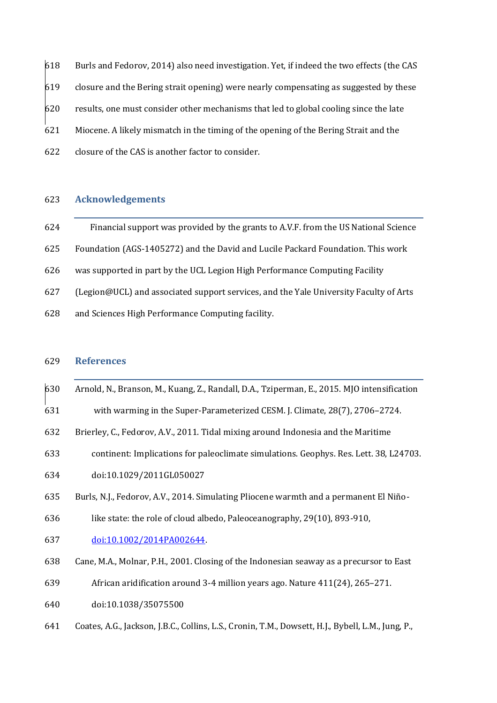Burls and Fedorov, 2014) also need investigation. Yet, if indeed the two effects (the CAS closure and the Bering strait opening) were nearly compensating as suggested by these results, one must consider other mechanisms that led to global cooling since the late Miocene. A likely mismatch in the timing of the opening of the Bering Strait and the closure of the CAS is another factor to consider.

## **Acknowledgements**

| 624 | Financial support was provided by the grants to A.V.F. from the US National Science   |
|-----|---------------------------------------------------------------------------------------|
| 625 | Foundation (AGS-1405272) and the David and Lucile Packard Foundation. This work       |
| 626 | was supported in part by the UCL Legion High Performance Computing Facility           |
| 627 | (Legion@UCL) and associated support services, and the Yale University Faculty of Arts |
| 628 | and Sciences High Performance Computing facility.                                     |

## **References**

Arnold, N., Branson, M., Kuang, Z., Randall, D.A., Tziperman, E., 2015. MJO intensification

with warming in the Super-Parameterized CESM. J. Climate, 28(7), 2706–2724.

- Brierley, C., Fedorov, A.V., 2011. Tidal mixing around Indonesia and the Maritime
- continent: Implications for paleoclimate simulations. Geophys. Res. Lett. 38, L24703. doi:10.1029/2011GL050027
- Burls, N.J., Fedorov, A.V., 2014. Simulating Pliocene warmth and a permanent El Niño-
- like state: the role of cloud albedo, Paleoceanography, 29(10), 893-910,
- [doi:10.1002/2014PA002644.](http://onlinelibrary.wiley.com/doi/10.1002/2014PA002644/abstract)
- Cane, M.A., Molnar, P.H., 2001. Closing of the Indonesian seaway as a precursor to East
- African aridification around 3-4 million years ago. Nature 411(24), 265–271.
- doi:10.1038/35075500
- Coates, A.G., Jackson, J.B.C., Collins, L.S., Cronin, T.M., Dowsett, H.J., Bybell, L.M., Jung, P.,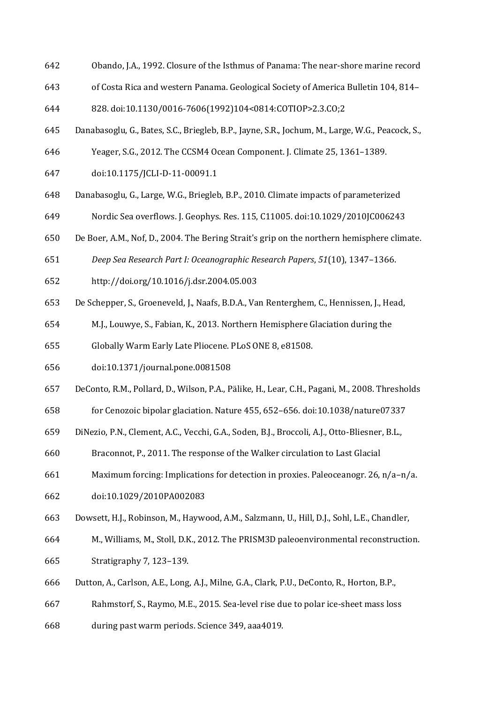- Obando, J.A., 1992. Closure of the Isthmus of Panama: The near-shore marine record
- of Costa Rica and western Panama. Geological Society of America Bulletin 104, 814–
- 828. doi:10.1130/0016-7606(1992)104<0814:COTIOP>2.3.CO;2
- Danabasoglu, G., Bates, S.C., Briegleb, B.P., Jayne, S.R., Jochum, M., Large, W.G., Peacock, S.,
- Yeager, S.G., 2012. The CCSM4 Ocean Component. J. Climate 25, 1361–1389.
- doi:10.1175/JCLI-D-11-00091.1
- Danabasoglu, G., Large, W.G., Briegleb, B.P., 2010. Climate impacts of parameterized Nordic Sea overflows. J. Geophys. Res. 115, C11005. doi:10.1029/2010JC006243
- De Boer, A.M., Nof, D., 2004. The Bering Strait's grip on the northern hemisphere climate.
- *Deep Sea Research Part I: Oceanographic Research Papers*, *51*(10), 1347–1366.
- http://doi.org/10.1016/j.dsr.2004.05.003
- De Schepper, S., Groeneveld, J., Naafs, B.D.A., Van Renterghem, C., Hennissen, J., Head,
- M.J., Louwye, S., Fabian, K., 2013. Northern Hemisphere Glaciation during the
- Globally Warm Early Late Pliocene. PLoS ONE 8, e81508.
- doi:10.1371/journal.pone.0081508
- DeConto, R.M., Pollard, D., Wilson, P.A., Pälike, H., Lear, C.H., Pagani, M., 2008. Thresholds
- for Cenozoic bipolar glaciation. Nature 455, 652–656. doi:10.1038/nature07337
- DiNezio, P.N., Clement, A.C., Vecchi, G.A., Soden, B.J., Broccoli, A.J., Otto-Bliesner, B.L.,
- Braconnot, P., 2011. The response of the Walker circulation to Last Glacial
- Maximum forcing: Implications for detection in proxies. Paleoceanogr. 26, n/a–n/a.
- doi:10.1029/2010PA002083
- Dowsett, H.J., Robinson, M., Haywood, A.M., Salzmann, U., Hill, D.J., Sohl, L.E., Chandler,
- M., Williams, M., Stoll, D.K., 2012. The PRISM3D paleoenvironmental reconstruction. Stratigraphy 7, 123–139.
- Dutton, A., Carlson, A.E., Long, A.J., Milne, G.A., Clark, P.U., DeConto, R., Horton, B.P.,
- Rahmstorf, S., Raymo, M.E., 2015. Sea-level rise due to polar ice-sheet mass loss
- during past warm periods. Science 349, aaa4019.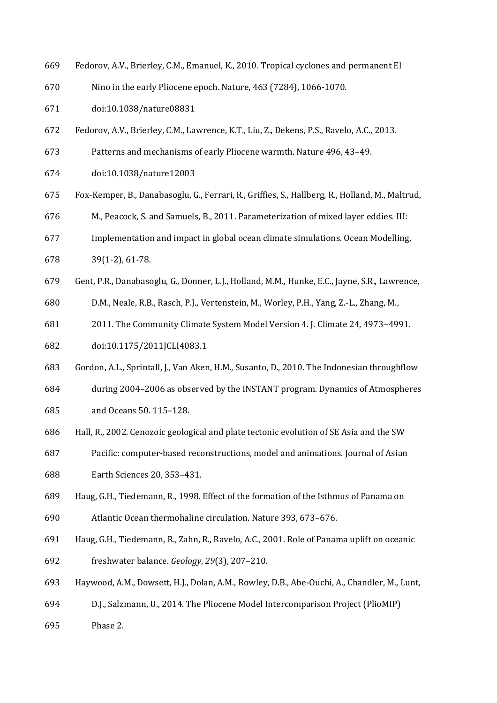- Fedorov, A.V., Brierley, C.M., Emanuel, K., 2010. Tropical cyclones and permanent El
- Nino in the early Pliocene epoch. Nature, 463 (7284), 1066-1070.
- doi:10.1038/nature08831
- Fedorov, A.V., Brierley, C.M., Lawrence, K.T., Liu, Z., Dekens, P.S., Ravelo, A.C., 2013.
- Patterns and mechanisms of early Pliocene warmth. Nature 496, 43–49.
- doi:10.1038/nature12003
- Fox-Kemper, B., Danabasoglu, G., Ferrari, R., Griffies, S., Hallberg, R., Holland, M., Maltrud,
- M., Peacock, S. and Samuels, B., 2011. Parameterization of mixed layer eddies. III:
- Implementation and impact in global ocean climate simulations. Ocean Modelling,
- 39(1-2), 61-78.
- Gent, P.R., Danabasoglu, G., Donner, L.J., Holland, M.M., Hunke, E.C., Jayne, S.R., Lawrence,
- D.M., Neale, R.B., Rasch, P.J., Vertenstein, M., Worley, P.H., Yang, Z.-L., Zhang, M.,
- 2011. The Community Climate System Model Version 4. J. Climate 24, 4973–4991. doi:10.1175/2011JCLI4083.1
- Gordon, A.L., Sprintall, J., Van Aken, H.M., Susanto, D., 2010. The Indonesian throughflow
- during 2004–2006 as observed by the INSTANT program. Dynamics of Atmospheres and Oceans 50. 115–128.
- Hall, R., 2002. Cenozoic geological and plate tectonic evolution of SE Asia and the SW
- Pacific: computer-based reconstructions, model and animations. Journal of Asian Earth Sciences 20, 353–431.
- Haug, G.H., Tiedemann, R., 1998. Effect of the formation of the Isthmus of Panama on

Atlantic Ocean thermohaline circulation. Nature 393, 673–676.

- Haug, G.H., Tiedemann, R., Zahn, R., Ravelo, A.C., 2001. Role of Panama uplift on oceanic freshwater balance. *Geology*, *29*(3), 207–210.
- Haywood, A.M., Dowsett, H.J., Dolan, A.M., Rowley, D.B., Abe-Ouchi, A., Chandler, M., Lunt,
- D.J., Salzmann, U., 2014. The Pliocene Model Intercomparison Project (PlioMIP)
- Phase 2.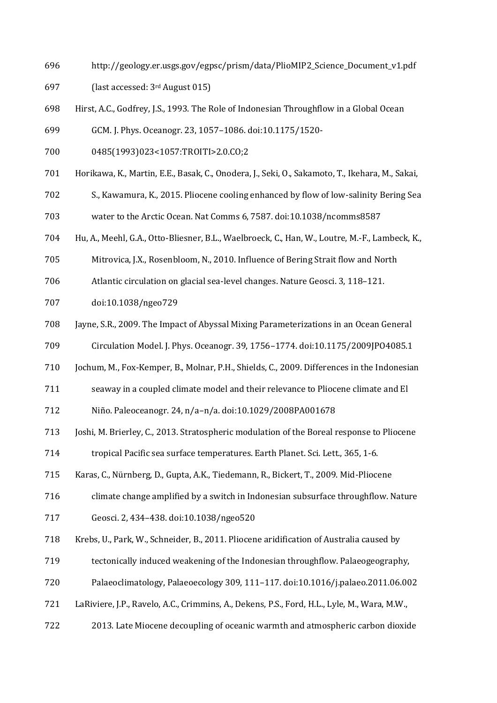http://geology.er.usgs.gov/egpsc/prism/data/PlioMIP2\_Science\_Document\_v1.pdf

(last accessed: 3rd August 015)

- Hirst, A.C., Godfrey, J.S., 1993. The Role of Indonesian Throughflow in a Global Ocean
- GCM. J. Phys. Oceanogr. 23, 1057–1086. doi:10.1175/1520-
- 0485(1993)023<1057:TROITI>2.0.CO;2
- Horikawa, K., Martin, E.E., Basak, C., Onodera, J., Seki, O., Sakamoto, T., Ikehara, M., Sakai,
- S., Kawamura, K., 2015. Pliocene cooling enhanced by flow of low-salinity Bering Sea
- water to the Arctic Ocean. Nat Comms 6, 7587. doi:10.1038/ncomms8587
- Hu, A., Meehl, G.A., Otto-Bliesner, B.L., Waelbroeck, C., Han, W., Loutre, M.-F., Lambeck, K.,
- Mitrovica, J.X., Rosenbloom, N., 2010. Influence of Bering Strait flow and North
- Atlantic circulation on glacial sea-level changes. Nature Geosci. 3, 118–121.
- doi:10.1038/ngeo729
- Jayne, S.R., 2009. The Impact of Abyssal Mixing Parameterizations in an Ocean General
- Circulation Model. J. Phys. Oceanogr. 39, 1756–1774. doi:10.1175/2009JPO4085.1
- Jochum, M., Fox-Kemper, B., Molnar, P.H., Shields, C., 2009. Differences in the Indonesian
- seaway in a coupled climate model and their relevance to Pliocene climate and El

Niño. Paleoceanogr. 24, n/a–n/a. doi:10.1029/2008PA001678

- Joshi, M. Brierley, C., 2013. Stratospheric modulation of the Boreal response to Pliocene
- tropical Pacific sea surface temperatures. Earth Planet. Sci. Lett., 365, 1-6.
- Karas, C., Nürnberg, D., Gupta, A.K., Tiedemann, R., Bickert, T., 2009. Mid-Pliocene
- climate change amplified by a switch in Indonesian subsurface throughflow. Nature
- Geosci. 2, 434–438. doi:10.1038/ngeo520
- Krebs, U., Park, W., Schneider, B., 2011. Pliocene aridification of Australia caused by
- tectonically induced weakening of the Indonesian throughflow. Palaeogeography,
- Palaeoclimatology, Palaeoecology 309, 111–117. doi:10.1016/j.palaeo.2011.06.002
- LaRiviere, J.P., Ravelo, A.C., Crimmins, A., Dekens, P.S., Ford, H.L., Lyle, M., Wara, M.W.,
- 2013. Late Miocene decoupling of oceanic warmth and atmospheric carbon dioxide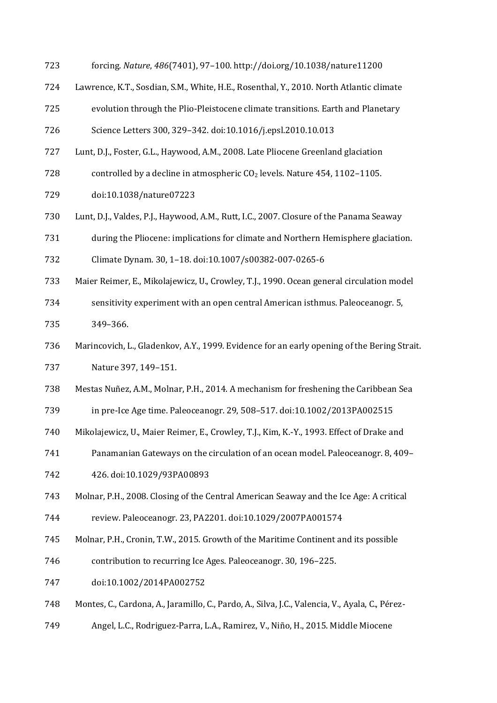- forcing. *Nature*, *486*(7401), 97–100. http://doi.org/10.1038/nature11200
- Lawrence, K.T., Sosdian, S.M., White, H.E., Rosenthal, Y., 2010. North Atlantic climate
- evolution through the Plio-Pleistocene climate transitions. Earth and Planetary
- Science Letters 300, 329–342. doi:10.1016/j.epsl.2010.10.013
- Lunt, D.J., Foster, G.L., Haywood, A.M., 2008. Late Pliocene Greenland glaciation
- 728 controlled by a decline in atmospheric  $CO<sub>2</sub>$  levels. Nature 454, 1102–1105.
- doi:10.1038/nature07223
- Lunt, D.J., Valdes, P.J., Haywood, A.M., Rutt, I.C., 2007. Closure of the Panama Seaway
- during the Pliocene: implications for climate and Northern Hemisphere glaciation.
- Climate Dynam. 30, 1–18. doi:10.1007/s00382-007-0265-6
- Maier Reimer, E., Mikolajewicz, U., Crowley, T.J., 1990. Ocean general circulation model
- sensitivity experiment with an open central American isthmus. Paleoceanogr. 5, 349–366.
- Marincovich, L., Gladenkov, A.Y., 1999. Evidence for an early opening of the Bering Strait. Nature 397, 149–151.
- Mestas Nuñez, A.M., Molnar, P.H., 2014. A mechanism for freshening the Caribbean Sea
- in pre‐Ice Age time. Paleoceanogr. 29, 508–517. doi:10.1002/2013PA002515
- Mikolajewicz, U., Maier Reimer, E., Crowley, T.J., Kim, K.-Y., 1993. Effect of Drake and
- Panamanian Gateways on the circulation of an ocean model. Paleoceanogr. 8, 409– 426. doi:10.1029/93PA00893
- Molnar, P.H., 2008. Closing of the Central American Seaway and the Ice Age: A critical

review. Paleoceanogr. 23, PA2201. doi:10.1029/2007PA001574

- Molnar, P.H., Cronin, T.W., 2015. Growth of the Maritime Continent and its possible
- contribution to recurring Ice Ages. Paleoceanogr. 30, 196–225.
- doi:10.1002/2014PA002752
- Montes, C., Cardona, A., Jaramillo, C., Pardo, A., Silva, J.C., Valencia, V., Ayala, C., Pérez-
- Angel, L.C., Rodriguez-Parra, L.A., Ramirez, V., Niño, H., 2015. Middle Miocene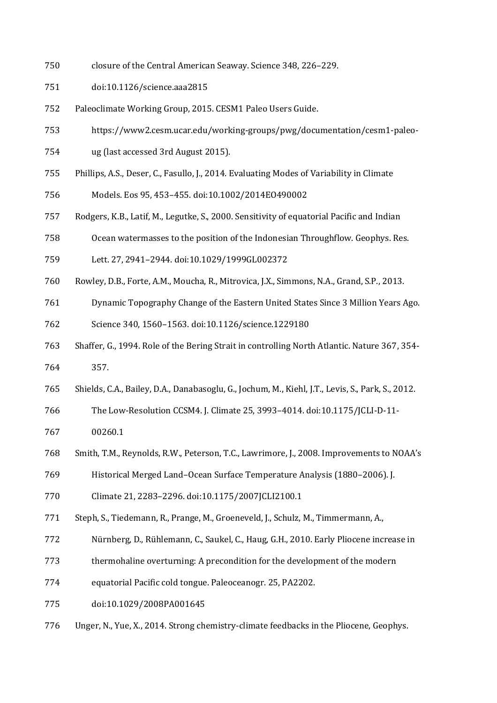- closure of the Central American Seaway. Science 348, 226–229.
- doi:10.1126/science.aaa2815
- Paleoclimate Working Group, 2015. CESM1 Paleo Users Guide.
- https://www2.cesm.ucar.edu/working-groups/pwg/documentation/cesm1-paleo-
- ug (last accessed 3rd August 2015).
- Phillips, A.S., Deser, C., Fasullo, J., 2014. Evaluating Modes of Variability in Climate
- Models. Eos 95, 453–455. doi:10.1002/2014EO490002
- Rodgers, K.B., Latif, M., Legutke, S., 2000. Sensitivity of equatorial Pacific and Indian
- Ocean watermasses to the position of the Indonesian Throughflow. Geophys. Res.
- Lett. 27, 2941–2944. doi:10.1029/1999GL002372
- Rowley, D.B., Forte, A.M., Moucha, R., Mitrovica, J.X., Simmons, N.A., Grand, S.P., 2013.
- Dynamic Topography Change of the Eastern United States Since 3 Million Years Ago.
- Science 340, 1560–1563. doi:10.1126/science.1229180
- Shaffer, G., 1994. Role of the Bering Strait in controlling North Atlantic. Nature 367, 354-
- 357.
- Shields, C.A., Bailey, D.A., Danabasoglu, G., Jochum, M., Kiehl, J.T., Levis, S., Park, S., 2012.
- The Low-Resolution CCSM4. J. Climate 25, 3993–4014. doi:10.1175/JCLI-D-11-
- 00260.1
- Smith, T.M., Reynolds, R.W., Peterson, T.C., Lawrimore, J., 2008. Improvements to NOAA's
- Historical Merged Land–Ocean Surface Temperature Analysis (1880–2006). J.
- Climate 21, 2283–2296. doi:10.1175/2007JCLI2100.1
- Steph, S., Tiedemann, R., Prange, M., Groeneveld, J., Schulz, M., Timmermann, A.,
- Nürnberg, D., Rühlemann, C., Saukel, C., Haug, G.H., 2010. Early Pliocene increase in
- thermohaline overturning: A precondition for the development of the modern
- equatorial Pacific cold tongue. Paleoceanogr. 25, PA2202.
- doi:10.1029/2008PA001645
- Unger, N., Yue, X., 2014. Strong chemistry-climate feedbacks in the Pliocene, Geophys.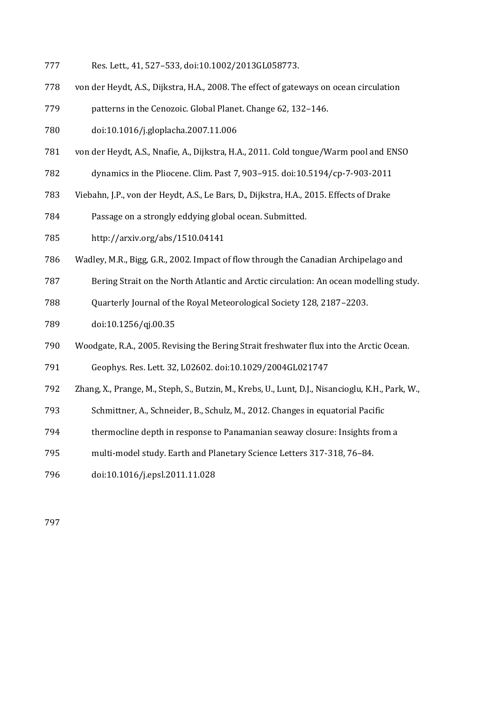- Res. Lett., 41, 527–533, doi:10.1002/2013GL058773.
- von der Heydt, A.S., Dijkstra, H.A., 2008. The effect of gateways on ocean circulation

patterns in the Cenozoic. Global Planet. Change 62, 132–146.

- doi:10.1016/j.gloplacha.2007.11.006
- von der Heydt, A.S., Nnafie, A., Dijkstra, H.A., 2011. Cold tongue/Warm pool and ENSO
- dynamics in the Pliocene. Clim. Past 7, 903–915. doi:10.5194/cp-7-903-2011
- Viebahn, J.P., von der Heydt, A.S., Le Bars, D., Dijkstra, H.A., 2015. Effects of Drake
- Passage on a strongly eddying global ocean. Submitted.
- http://arxiv.org/abs/1510.04141
- Wadley, M.R., Bigg, G.R., 2002. Impact of flow through the Canadian Archipelago and
- Bering Strait on the North Atlantic and Arctic circulation: An ocean modelling study.
- Quarterly Journal of the Royal Meteorological Society 128, 2187–2203.
- doi:10.1256/qj.00.35
- Woodgate, R.A., 2005. Revising the Bering Strait freshwater flux into the Arctic Ocean.

Geophys. Res. Lett. 32, L02602. doi:10.1029/2004GL021747

- Zhang, X., Prange, M., Steph, S., Butzin, M., Krebs, U., Lunt, D.J., Nisancioglu, K.H., Park, W.,
- Schmittner, A., Schneider, B., Schulz, M., 2012. Changes in equatorial Pacific
- thermocline depth in response to Panamanian seaway closure: Insights from a
- multi-model study. Earth and Planetary Science Letters 317-318, 76–84.
- doi:10.1016/j.epsl.2011.11.028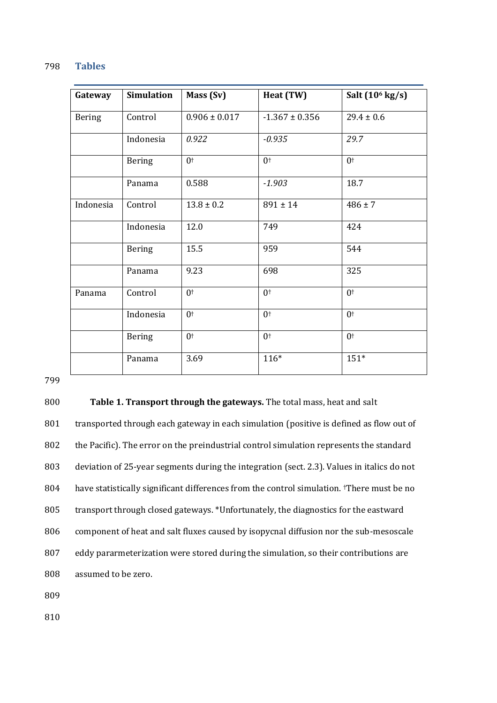#### 798 **Tables**

| Gateway       | <b>Simulation</b> | Mass (Sv)         | Heat (TW)          | Salt (10 <sup>6</sup> kg/s) |
|---------------|-------------------|-------------------|--------------------|-----------------------------|
| <b>Bering</b> | Control           | $0.906 \pm 0.017$ | $-1.367 \pm 0.356$ | $29.4 \pm 0.6$              |
|               | Indonesia         | 0.922             | $-0.935$           | 29.7                        |
|               | <b>Bering</b>     | 0 <sup>†</sup>    | 0 <sup>†</sup>     | 0 <sup>†</sup>              |
|               | Panama            | 0.588             | $-1.903$           | 18.7                        |
| Indonesia     | Control           | $13.8 \pm 0.2$    | $891 \pm 14$       | $486 \pm 7$                 |
|               | Indonesia         | 12.0              | 749                | 424                         |
|               | <b>Bering</b>     | 15.5              | 959                | 544                         |
|               | Panama            | 9.23              | 698                | 325                         |
| Panama        | Control           | 0 <sup>†</sup>    | 0 <sup>†</sup>     | 0 <sup>†</sup>              |
|               | Indonesia         | 0 <sup>†</sup>    | 0 <sup>†</sup>     | 0 <sup>†</sup>              |
|               | <b>Bering</b>     | 0 <sup>†</sup>    | 0 <sup>†</sup>     | 0 <sup>†</sup>              |
|               | Panama            | 3.69              | $116*$             | $151*$                      |

799

## 800 **Table 1. Transport through the gateways.** The total mass, heat and salt

801 transported through each gateway in each simulation (positive is defined as flow out of the Pacific). The error on the preindustrial control simulation represents the standard deviation of 25-year segments during the integration (sect. 2.3). Values in italics do not 804 have statistically significant differences from the control simulation. There must be no transport through closed gateways. \*Unfortunately, the diagnostics for the eastward component of heat and salt fluxes caused by isopycnal diffusion nor the sub-mesoscale eddy pararmeterization were stored during the simulation, so their contributions are assumed to be zero.

809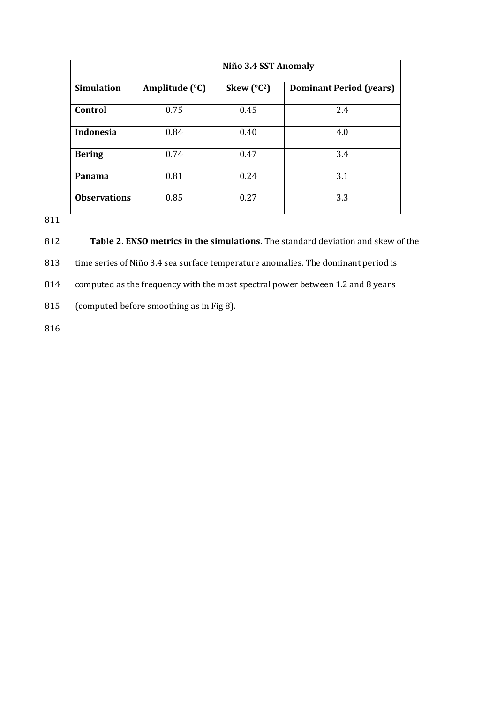|                     | Niño 3.4 SST Anomaly |                      |                                |  |
|---------------------|----------------------|----------------------|--------------------------------|--|
| <b>Simulation</b>   | Amplitude (°C)       | Skew $(^{\circ}C^2)$ | <b>Dominant Period (years)</b> |  |
| Control             | 0.75                 | 0.45                 | 2.4                            |  |
| <b>Indonesia</b>    | 0.84                 | 0.40                 | 4.0                            |  |
| <b>Bering</b>       | 0.74                 | 0.47                 | 3.4                            |  |
| Panama              | 0.81                 | 0.24                 | 3.1                            |  |
| <b>Observations</b> | 0.85                 | 0.27                 | 3.3                            |  |

811

812 **Table 2. ENSO metrics in the simulations.** The standard deviation and skew of the

813 time series of Niño 3.4 sea surface temperature anomalies. The dominant period is

814 computed as the frequency with the most spectral power between 1.2 and 8 years

815 (computed before smoothing as in Fig 8).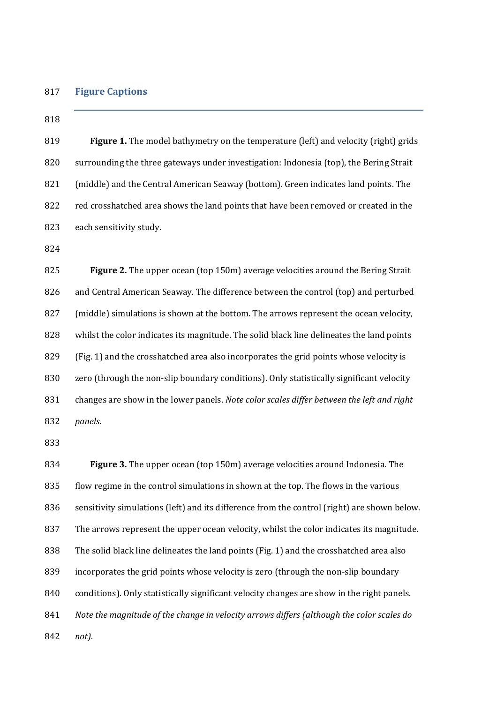#### **Figure Captions**

#### 

 **Figure 1.** The model bathymetry on the temperature (left) and velocity (right) grids surrounding the three gateways under investigation: Indonesia (top), the Bering Strait (middle) and the Central American Seaway (bottom). Green indicates land points. The 822 red crosshatched area shows the land points that have been removed or created in the each sensitivity study.

 **Figure 2.** The upper ocean (top 150m) average velocities around the Bering Strait and Central American Seaway. The difference between the control (top) and perturbed (middle) simulations is shown at the bottom. The arrows represent the ocean velocity, whilst the color indicates its magnitude. The solid black line delineates the land points (Fig. 1) and the crosshatched area also incorporates the grid points whose velocity is zero (through the non-slip boundary conditions). Only statistically significant velocity changes are show in the lower panels. *Note color scales differ between the left and right panels*.

 **Figure 3.** The upper ocean (top 150m) average velocities around Indonesia. The flow regime in the control simulations in shown at the top. The flows in the various sensitivity simulations (left) and its difference from the control (right) are shown below. The arrows represent the upper ocean velocity, whilst the color indicates its magnitude. The solid black line delineates the land points (Fig. 1) and the crosshatched area also incorporates the grid points whose velocity is zero (through the non-slip boundary conditions). Only statistically significant velocity changes are show in the right panels. *Note the magnitude of the change in velocity arrows differs (although the color scales do not)*.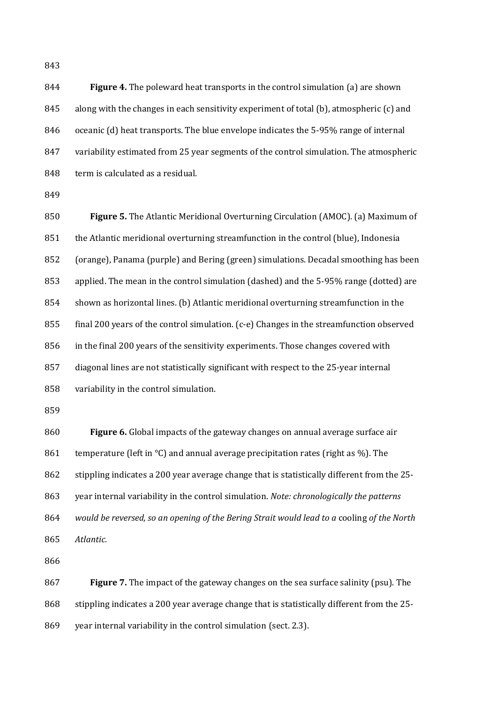**Figure 4.** The poleward heat transports in the control simulation (a) are shown along with the changes in each sensitivity experiment of total (b), atmospheric (c) and oceanic (d) heat transports. The blue envelope indicates the 5-95% range of internal variability estimated from 25 year segments of the control simulation. The atmospheric 848 term is calculated as a residual.

 **Figure 5.** The Atlantic Meridional Overturning Circulation (AMOC). (a) Maximum of the Atlantic meridional overturning streamfunction in the control (blue), Indonesia (orange), Panama (purple) and Bering (green) simulations. Decadal smoothing has been applied. The mean in the control simulation (dashed) and the 5-95% range (dotted) are shown as horizontal lines. (b) Atlantic meridional overturning streamfunction in the final 200 years of the control simulation. (c-e) Changes in the streamfunction observed in the final 200 years of the sensitivity experiments. Those changes covered with diagonal lines are not statistically significant with respect to the 25-year internal variability in the control simulation.

 **Figure 6.** Global impacts of the gateway changes on annual average surface air 861 temperature (left in  $\textdegree C$ ) and annual average precipitation rates (right as %). The stippling indicates a 200 year average change that is statistically different from the 25- year internal variability in the control simulation. *Note: chronologically the patterns would be reversed, so an opening of the Bering Strait would lead to a* cooling *of the North Atlantic.*

 **Figure 7.** The impact of the gateway changes on the sea surface salinity (psu). The 868 stippling indicates a 200 year average change that is statistically different from the 25-year internal variability in the control simulation (sect. 2.3).